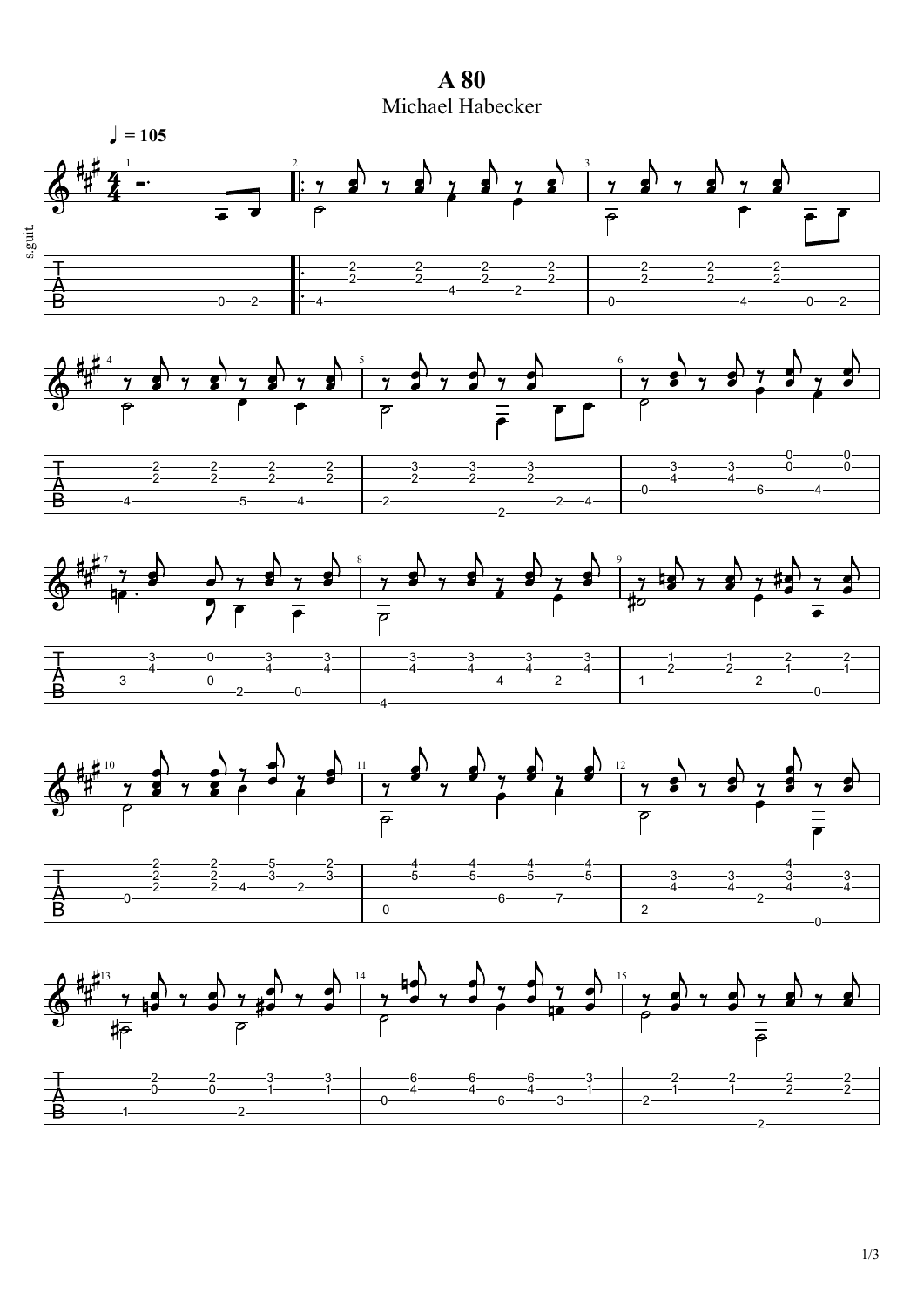1/3

**A 80** Michael Habecker

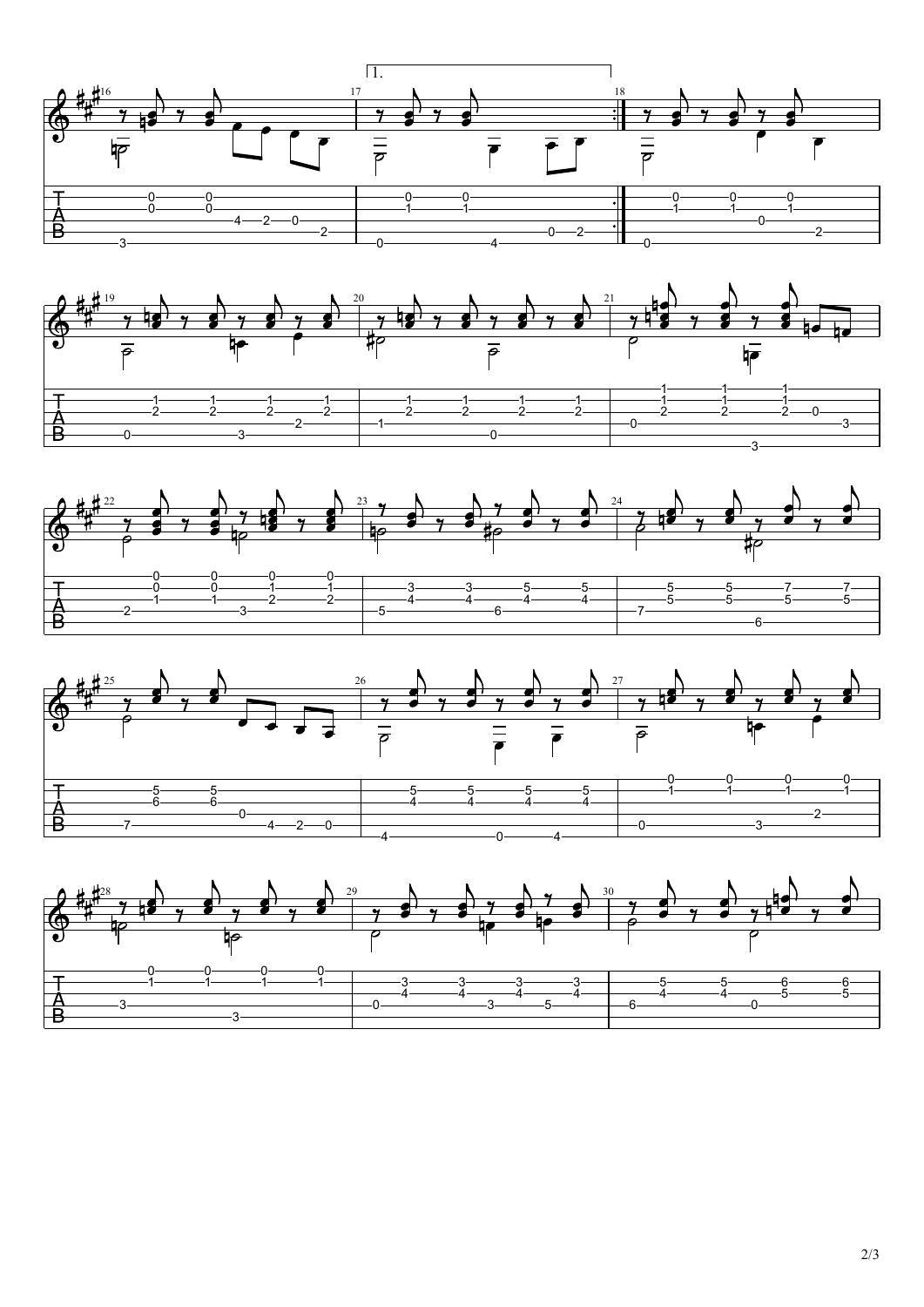